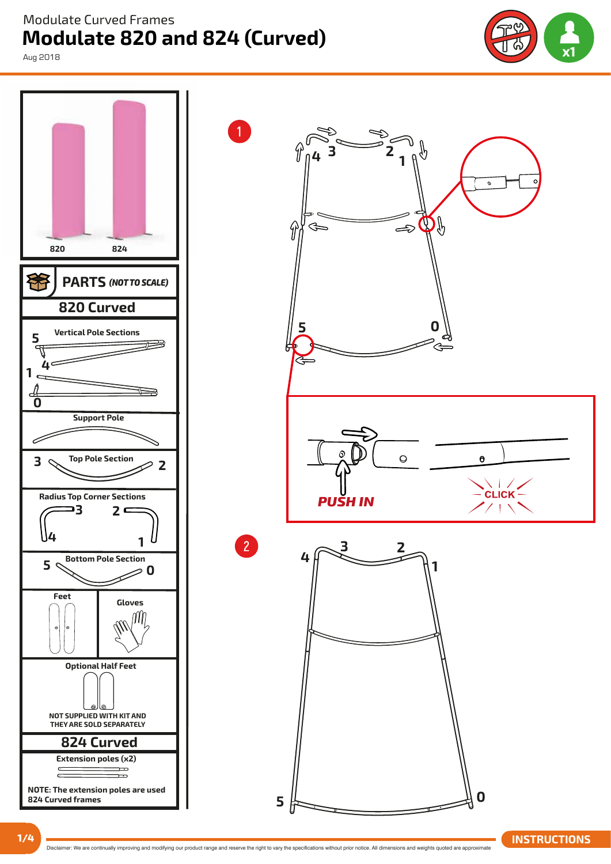**Modulate 820 and 824 (Curved)**  Modulate Curved Frames

Aug 2018



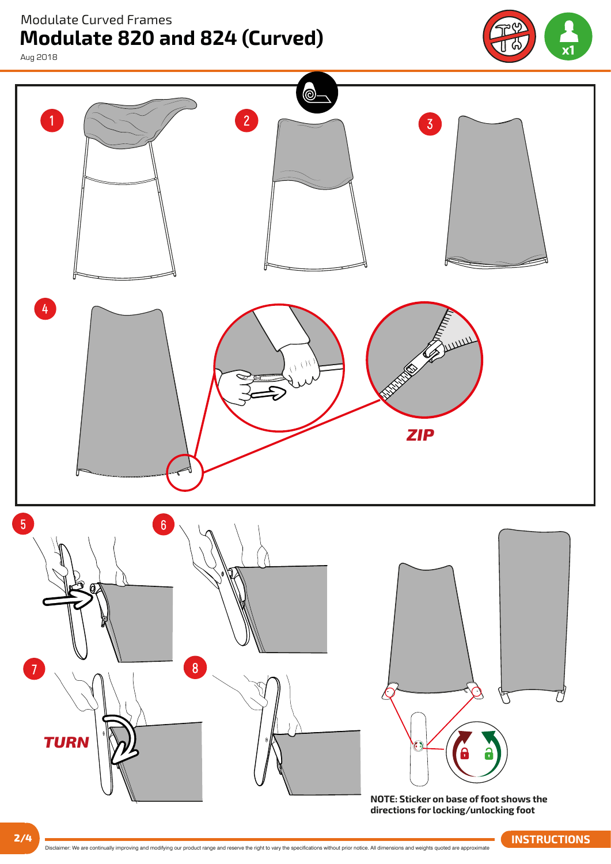Modulate Curved Frames

Aug 2018

**Modulate 820 and 824 (Curved)**



⊚  $\overline{1}$  $\overline{2}$ 3  $\overline{4}$ *ZIP*   $5\overline{5}$  $\overline{6}$ 8 ٣ *TURN*

**NOTE: Sticker on base of foot shows the directions for locking/unlocking foot**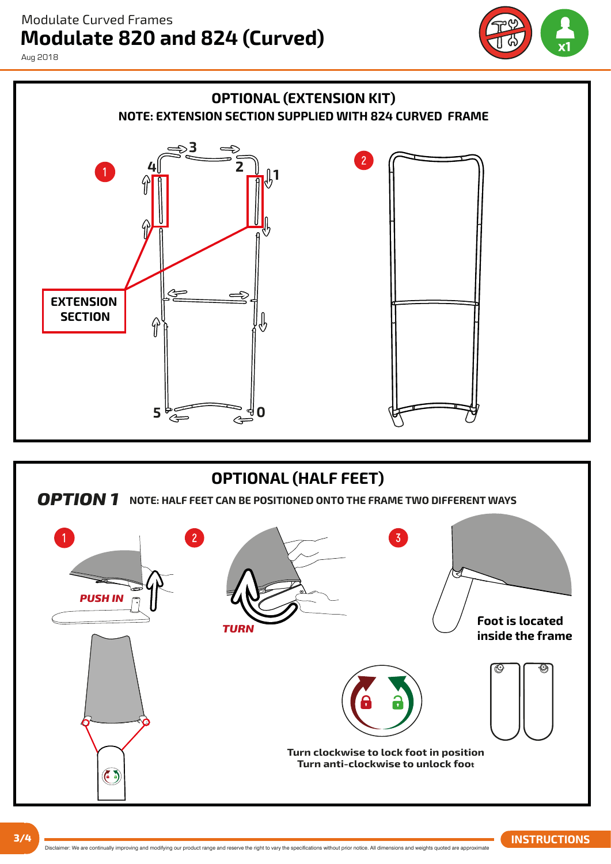